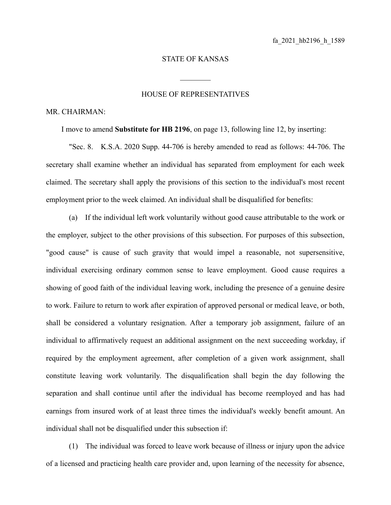## STATE OF KANSAS

 $\mathcal{L}_\text{max}$ 

## HOUSE OF REPRESENTATIVES

## MR. CHAIRMAN:

I move to amend **Substitute for HB 2196**, on page 13, following line 12, by inserting:

"Sec. 8. K.S.A. 2020 Supp. 44-706 is hereby amended to read as follows: 44-706. The secretary shall examine whether an individual has separated from employment for each week claimed. The secretary shall apply the provisions of this section to the individual's most recent employment prior to the week claimed. An individual shall be disqualified for benefits:

(a) If the individual left work voluntarily without good cause attributable to the work or the employer, subject to the other provisions of this subsection. For purposes of this subsection, "good cause" is cause of such gravity that would impel a reasonable, not supersensitive, individual exercising ordinary common sense to leave employment. Good cause requires a showing of good faith of the individual leaving work, including the presence of a genuine desire to work. Failure to return to work after expiration of approved personal or medical leave, or both, shall be considered a voluntary resignation. After a temporary job assignment, failure of an individual to affirmatively request an additional assignment on the next succeeding workday, if required by the employment agreement, after completion of a given work assignment, shall constitute leaving work voluntarily. The disqualification shall begin the day following the separation and shall continue until after the individual has become reemployed and has had earnings from insured work of at least three times the individual's weekly benefit amount. An individual shall not be disqualified under this subsection if:

(1) The individual was forced to leave work because of illness or injury upon the advice of a licensed and practicing health care provider and, upon learning of the necessity for absence,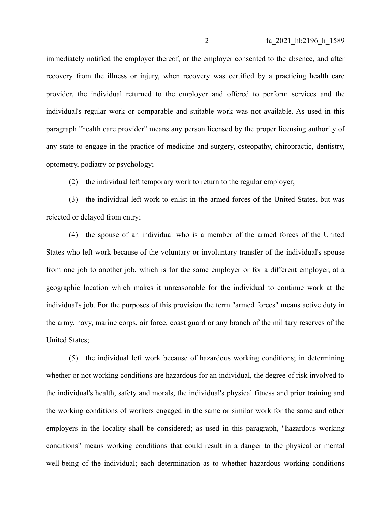immediately notified the employer thereof, or the employer consented to the absence, and after recovery from the illness or injury, when recovery was certified by a practicing health care provider, the individual returned to the employer and offered to perform services and the individual's regular work or comparable and suitable work was not available. As used in this paragraph "health care provider" means any person licensed by the proper licensing authority of any state to engage in the practice of medicine and surgery, osteopathy, chiropractic, dentistry, optometry, podiatry or psychology;

(2) the individual left temporary work to return to the regular employer;

(3) the individual left work to enlist in the armed forces of the United States, but was rejected or delayed from entry;

(4) the spouse of an individual who is a member of the armed forces of the United States who left work because of the voluntary or involuntary transfer of the individual's spouse from one job to another job, which is for the same employer or for a different employer, at a geographic location which makes it unreasonable for the individual to continue work at the individual's job. For the purposes of this provision the term "armed forces" means active duty in the army, navy, marine corps, air force, coast guard or any branch of the military reserves of the United States;

(5) the individual left work because of hazardous working conditions; in determining whether or not working conditions are hazardous for an individual, the degree of risk involved to the individual's health, safety and morals, the individual's physical fitness and prior training and the working conditions of workers engaged in the same or similar work for the same and other employers in the locality shall be considered; as used in this paragraph, "hazardous working conditions" means working conditions that could result in a danger to the physical or mental well-being of the individual; each determination as to whether hazardous working conditions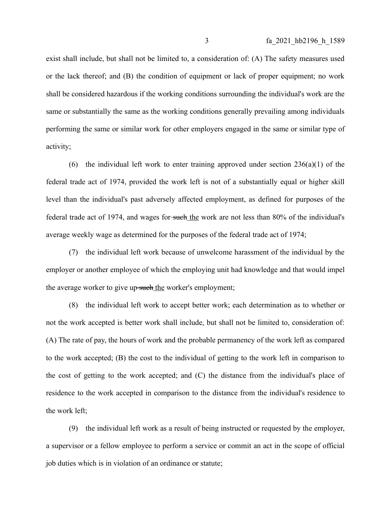exist shall include, but shall not be limited to, a consideration of: (A) The safety measures used or the lack thereof; and (B) the condition of equipment or lack of proper equipment; no work shall be considered hazardous if the working conditions surrounding the individual's work are the same or substantially the same as the working conditions generally prevailing among individuals performing the same or similar work for other employers engaged in the same or similar type of activity;

(6) the individual left work to enter training approved under section  $236(a)(1)$  of the federal trade act of 1974, provided the work left is not of a substantially equal or higher skill level than the individual's past adversely affected employment, as defined for purposes of the federal trade act of 1974, and wages for-such the work are not less than 80% of the individual's average weekly wage as determined for the purposes of the federal trade act of 1974;

(7) the individual left work because of unwelcome harassment of the individual by the employer or another employee of which the employing unit had knowledge and that would impel the average worker to give up-such the worker's employment;

(8) the individual left work to accept better work; each determination as to whether or not the work accepted is better work shall include, but shall not be limited to, consideration of: (A) The rate of pay, the hours of work and the probable permanency of the work left as compared to the work accepted; (B) the cost to the individual of getting to the work left in comparison to the cost of getting to the work accepted; and (C) the distance from the individual's place of residence to the work accepted in comparison to the distance from the individual's residence to the work left;

(9) the individual left work as a result of being instructed or requested by the employer, a supervisor or a fellow employee to perform a service or commit an act in the scope of official job duties which is in violation of an ordinance or statute;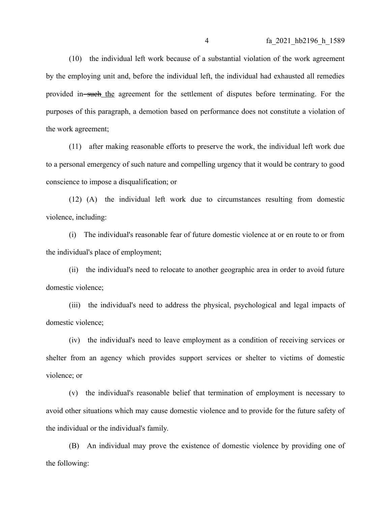(10) the individual left work because of a substantial violation of the work agreement by the employing unit and, before the individual left, the individual had exhausted all remedies provided in such the agreement for the settlement of disputes before terminating. For the purposes of this paragraph, a demotion based on performance does not constitute a violation of the work agreement;

(11) after making reasonable efforts to preserve the work, the individual left work due to a personal emergency of such nature and compelling urgency that it would be contrary to good conscience to impose a disqualification; or

(12) (A) the individual left work due to circumstances resulting from domestic violence, including:

(i) The individual's reasonable fear of future domestic violence at or en route to or from the individual's place of employment;

(ii) the individual's need to relocate to another geographic area in order to avoid future domestic violence;

(iii) the individual's need to address the physical, psychological and legal impacts of domestic violence;

(iv) the individual's need to leave employment as a condition of receiving services or shelter from an agency which provides support services or shelter to victims of domestic violence; or

(v) the individual's reasonable belief that termination of employment is necessary to avoid other situations which may cause domestic violence and to provide for the future safety of the individual or the individual's family.

(B) An individual may prove the existence of domestic violence by providing one of the following: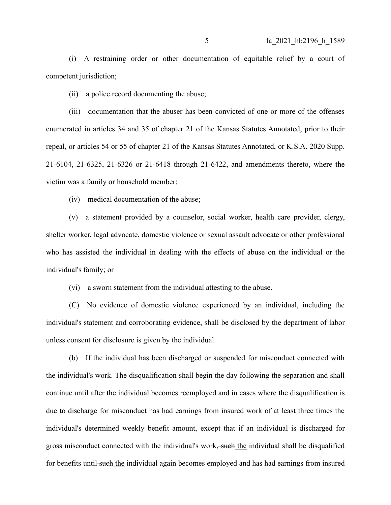(i) A restraining order or other documentation of equitable relief by a court of competent jurisdiction;

(ii) a police record documenting the abuse;

(iii) documentation that the abuser has been convicted of one or more of the offenses enumerated in articles 34 and 35 of chapter 21 of the Kansas Statutes Annotated, prior to their repeal, or articles 54 or 55 of chapter 21 of the Kansas Statutes Annotated, or K.S.A. 2020 Supp. 21-6104, 21-6325, 21-6326 or 21-6418 through 21-6422, and amendments thereto, where the victim was a family or household member;

(iv) medical documentation of the abuse;

(v) a statement provided by a counselor, social worker, health care provider, clergy, shelter worker, legal advocate, domestic violence or sexual assault advocate or other professional who has assisted the individual in dealing with the effects of abuse on the individual or the individual's family; or

(vi) a sworn statement from the individual attesting to the abuse.

(C) No evidence of domestic violence experienced by an individual, including the individual's statement and corroborating evidence, shall be disclosed by the department of labor unless consent for disclosure is given by the individual.

(b) If the individual has been discharged or suspended for misconduct connected with the individual's work. The disqualification shall begin the day following the separation and shall continue until after the individual becomes reemployed and in cases where the disqualification is due to discharge for misconduct has had earnings from insured work of at least three times the individual's determined weekly benefit amount, except that if an individual is discharged for gross misconduct connected with the individual's work, such the individual shall be disqualified for benefits until such the individual again becomes employed and has had earnings from insured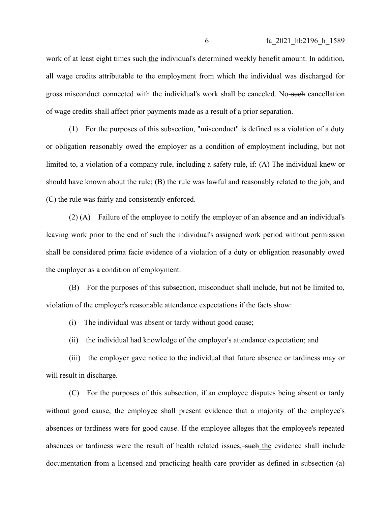work of at least eight times such the individual's determined weekly benefit amount. In addition, all wage credits attributable to the employment from which the individual was discharged for gross misconduct connected with the individual's work shall be canceled. No-such cancellation of wage credits shall affect prior payments made as a result of a prior separation.

(1) For the purposes of this subsection, "misconduct" is defined as a violation of a duty or obligation reasonably owed the employer as a condition of employment including, but not limited to, a violation of a company rule, including a safety rule, if: (A) The individual knew or should have known about the rule; (B) the rule was lawful and reasonably related to the job; and (C) the rule was fairly and consistently enforced.

(2) (A) Failure of the employee to notify the employer of an absence and an individual's leaving work prior to the end of such the individual's assigned work period without permission shall be considered prima facie evidence of a violation of a duty or obligation reasonably owed the employer as a condition of employment.

(B) For the purposes of this subsection, misconduct shall include, but not be limited to, violation of the employer's reasonable attendance expectations if the facts show:

(i) The individual was absent or tardy without good cause;

(ii) the individual had knowledge of the employer's attendance expectation; and

(iii) the employer gave notice to the individual that future absence or tardiness may or will result in discharge.

(C) For the purposes of this subsection, if an employee disputes being absent or tardy without good cause, the employee shall present evidence that a majority of the employee's absences or tardiness were for good cause. If the employee alleges that the employee's repeated absences or tardiness were the result of health related issues, such the evidence shall include documentation from a licensed and practicing health care provider as defined in subsection (a)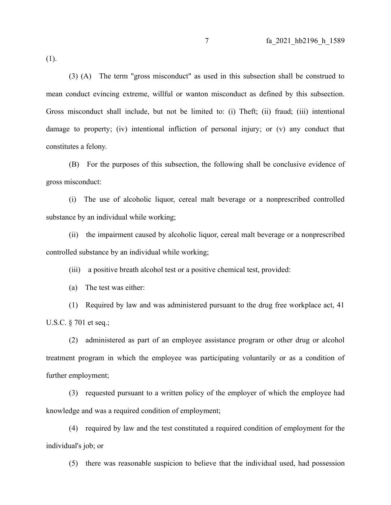(1).

(3) (A) The term "gross misconduct" as used in this subsection shall be construed to mean conduct evincing extreme, willful or wanton misconduct as defined by this subsection. Gross misconduct shall include, but not be limited to: (i) Theft; (ii) fraud; (iii) intentional damage to property; (iv) intentional infliction of personal injury; or (v) any conduct that constitutes a felony.

(B) For the purposes of this subsection, the following shall be conclusive evidence of gross misconduct:

(i) The use of alcoholic liquor, cereal malt beverage or a nonprescribed controlled substance by an individual while working;

(ii) the impairment caused by alcoholic liquor, cereal malt beverage or a nonprescribed controlled substance by an individual while working;

(iii) a positive breath alcohol test or a positive chemical test, provided:

(a) The test was either:

(1) Required by law and was administered pursuant to the drug free workplace act, 41 U.S.C. § 701 et seq.;

(2) administered as part of an employee assistance program or other drug or alcohol treatment program in which the employee was participating voluntarily or as a condition of further employment;

(3) requested pursuant to a written policy of the employer of which the employee had knowledge and was a required condition of employment;

(4) required by law and the test constituted a required condition of employment for the individual's job; or

(5) there was reasonable suspicion to believe that the individual used, had possession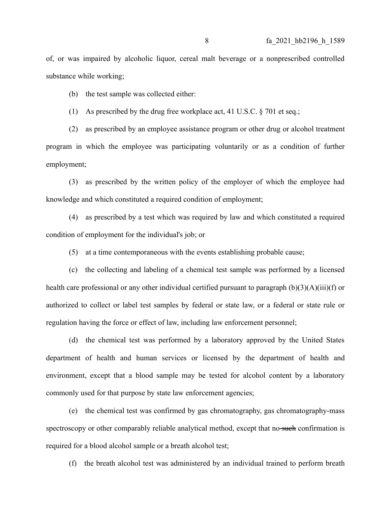of, or was impaired by alcoholic liquor, cereal malt beverage or a nonprescribed controlled substance while working;

(b) the test sample was collected either:

(1) As prescribed by the drug free workplace act, 41 U.S.C. § 701 et seq.;

(2) as prescribed by an employee assistance program or other drug or alcohol treatment program in which the employee was participating voluntarily or as a condition of further employment;

(3) as prescribed by the written policy of the employer of which the employee had knowledge and which constituted a required condition of employment;

(4) as prescribed by a test which was required by law and which constituted a required condition of employment for the individual's job; or

(5) at a time contemporaneous with the events establishing probable cause;

(c) the collecting and labeling of a chemical test sample was performed by a licensed health care professional or any other individual certified pursuant to paragraph (b)(3)(A)(iii)(f) or authorized to collect or label test samples by federal or state law, or a federal or state rule or regulation having the force or effect of law, including law enforcement personnel;

(d) the chemical test was performed by a laboratory approved by the United States department of health and human services or licensed by the department of health and environment, except that a blood sample may be tested for alcohol content by a laboratory commonly used for that purpose by state law enforcement agencies;

(e) the chemical test was confirmed by gas chromatography, gas chromatography-mass spectroscopy or other comparably reliable analytical method, except that no such confirmation is required for a blood alcohol sample or a breath alcohol test;

(f) the breath alcohol test was administered by an individual trained to perform breath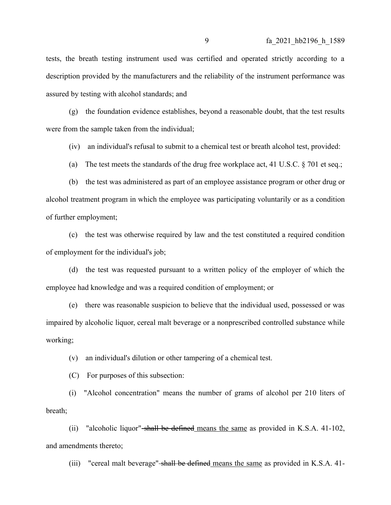tests, the breath testing instrument used was certified and operated strictly according to a description provided by the manufacturers and the reliability of the instrument performance was assured by testing with alcohol standards; and

(g) the foundation evidence establishes, beyond a reasonable doubt, that the test results were from the sample taken from the individual;

(iv) an individual's refusal to submit to a chemical test or breath alcohol test, provided:

(a) The test meets the standards of the drug free workplace act, 41 U.S.C.  $\S$  701 et seq.;

(b) the test was administered as part of an employee assistance program or other drug or alcohol treatment program in which the employee was participating voluntarily or as a condition of further employment;

(c) the test was otherwise required by law and the test constituted a required condition of employment for the individual's job;

(d) the test was requested pursuant to a written policy of the employer of which the employee had knowledge and was a required condition of employment; or

(e) there was reasonable suspicion to believe that the individual used, possessed or was impaired by alcoholic liquor, cereal malt beverage or a nonprescribed controlled substance while working;

(v) an individual's dilution or other tampering of a chemical test.

(C) For purposes of this subsection:

(i) "Alcohol concentration" means the number of grams of alcohol per 210 liters of breath;

(ii) "alcoholic liquor" shall be defined means the same as provided in K.S.A. 41-102, and amendments thereto;

(iii) "cereal malt beverage" shall be defined means the same as provided in K.S.A.  $41$ -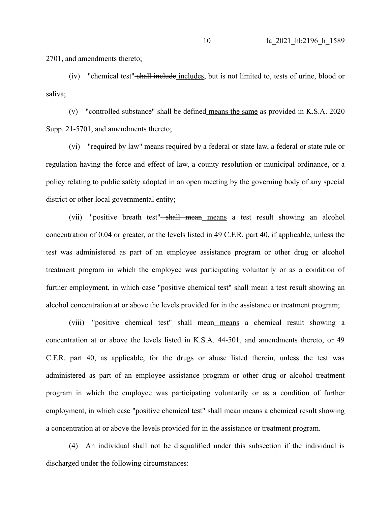2701, and amendments thereto;

(iv) "chemical test" shall include includes, but is not limited to, tests of urine, blood or saliva;

(v) "controlled substance" shall be defined means the same as provided in K.S.A. 2020 Supp. 21-5701, and amendments thereto;

(vi) "required by law" means required by a federal or state law, a federal or state rule or regulation having the force and effect of law, a county resolution or municipal ordinance, or a policy relating to public safety adopted in an open meeting by the governing body of any special district or other local governmental entity;

(vii) "positive breath test"<del>-shall mean means</del> a test result showing an alcohol concentration of 0.04 or greater, or the levels listed in 49 C.F.R. part 40, if applicable, unless the test was administered as part of an employee assistance program or other drug or alcohol treatment program in which the employee was participating voluntarily or as a condition of further employment, in which case "positive chemical test" shall mean a test result showing an alcohol concentration at or above the levels provided for in the assistance or treatment program;

(viii) "positive chemical test" shall mean means a chemical result showing a concentration at or above the levels listed in K.S.A. 44-501, and amendments thereto, or 49 C.F.R. part 40, as applicable, for the drugs or abuse listed therein, unless the test was administered as part of an employee assistance program or other drug or alcohol treatment program in which the employee was participating voluntarily or as a condition of further employment, in which case "positive chemical test" shall mean means a chemical result showing a concentration at or above the levels provided for in the assistance or treatment program.

(4) An individual shall not be disqualified under this subsection if the individual is discharged under the following circumstances: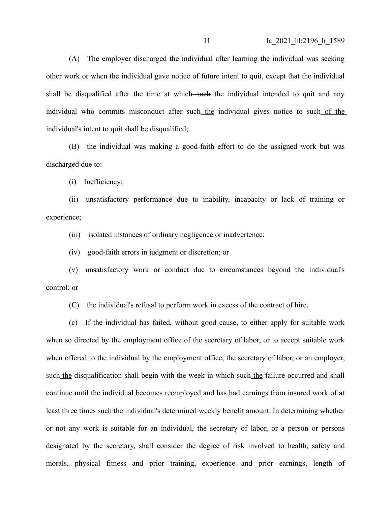(A) The employer discharged the individual after learning the individual was seeking other work or when the individual gave notice of future intent to quit, except that the individual shall be disqualified after the time at which—such the individual intended to quit and any individual who commits misconduct after<del>-such the</del> individual gives notice to such of the individual's intent to quit shall be disqualified;

(B) the individual was making a good-faith effort to do the assigned work but was discharged due to:

(i) Inefficiency;

(ii) unsatisfactory performance due to inability, incapacity or lack of training or experience;

(iii) isolated instances of ordinary negligence or inadvertence;

(iv) good-faith errors in judgment or discretion; or

(v) unsatisfactory work or conduct due to circumstances beyond the individual's control; or

(C) the individual's refusal to perform work in excess of the contract of hire.

(c) If the individual has failed, without good cause, to either apply for suitable work when so directed by the employment office of the secretary of labor, or to accept suitable work when offered to the individual by the employment office, the secretary of labor, or an employer, such the disqualification shall begin with the week in which such the failure occurred and shall continue until the individual becomes reemployed and has had earnings from insured work of at least three times such the individual's determined weekly benefit amount. In determining whether or not any work is suitable for an individual, the secretary of labor, or a person or persons designated by the secretary, shall consider the degree of risk involved to health, safety and morals, physical fitness and prior training, experience and prior earnings, length of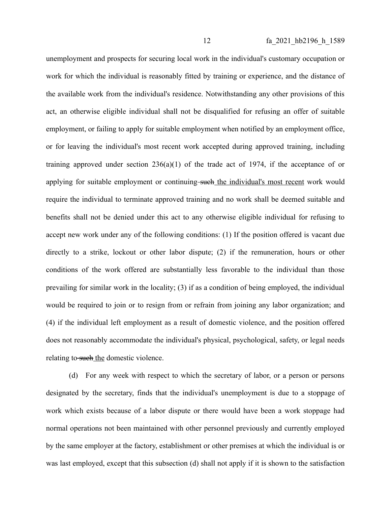unemployment and prospects for securing local work in the individual's customary occupation or work for which the individual is reasonably fitted by training or experience, and the distance of the available work from the individual's residence. Notwithstanding any other provisions of this act, an otherwise eligible individual shall not be disqualified for refusing an offer of suitable employment, or failing to apply for suitable employment when notified by an employment office, or for leaving the individual's most recent work accepted during approved training, including training approved under section  $236(a)(1)$  of the trade act of 1974, if the acceptance of or applying for suitable employment or continuing-such the individual's most recent work would require the individual to terminate approved training and no work shall be deemed suitable and benefits shall not be denied under this act to any otherwise eligible individual for refusing to accept new work under any of the following conditions: (1) If the position offered is vacant due directly to a strike, lockout or other labor dispute; (2) if the remuneration, hours or other conditions of the work offered are substantially less favorable to the individual than those prevailing for similar work in the locality; (3) if as a condition of being employed, the individual would be required to join or to resign from or refrain from joining any labor organization; and (4) if the individual left employment as a result of domestic violence, and the position offered does not reasonably accommodate the individual's physical, psychological, safety, or legal needs relating to such the domestic violence.

(d) For any week with respect to which the secretary of labor, or a person or persons designated by the secretary, finds that the individual's unemployment is due to a stoppage of work which exists because of a labor dispute or there would have been a work stoppage had normal operations not been maintained with other personnel previously and currently employed by the same employer at the factory, establishment or other premises at which the individual is or was last employed, except that this subsection (d) shall not apply if it is shown to the satisfaction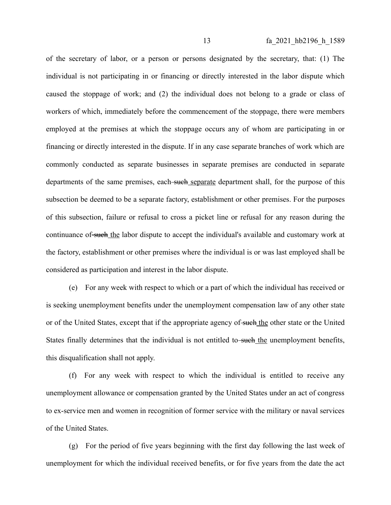of the secretary of labor, or a person or persons designated by the secretary, that: (1) The individual is not participating in or financing or directly interested in the labor dispute which caused the stoppage of work; and (2) the individual does not belong to a grade or class of workers of which, immediately before the commencement of the stoppage, there were members employed at the premises at which the stoppage occurs any of whom are participating in or financing or directly interested in the dispute. If in any case separate branches of work which are commonly conducted as separate businesses in separate premises are conducted in separate departments of the same premises, each such separate department shall, for the purpose of this subsection be deemed to be a separate factory, establishment or other premises. For the purposes of this subsection, failure or refusal to cross a picket line or refusal for any reason during the continuance of such the labor dispute to accept the individual's available and customary work at the factory, establishment or other premises where the individual is or was last employed shall be considered as participation and interest in the labor dispute.

(e) For any week with respect to which or a part of which the individual has received or is seeking unemployment benefits under the unemployment compensation law of any other state or of the United States, except that if the appropriate agency of such the other state or the United States finally determines that the individual is not entitled to-such the unemployment benefits, this disqualification shall not apply.

(f) For any week with respect to which the individual is entitled to receive any unemployment allowance or compensation granted by the United States under an act of congress to ex-service men and women in recognition of former service with the military or naval services of the United States.

(g) For the period of five years beginning with the first day following the last week of unemployment for which the individual received benefits, or for five years from the date the act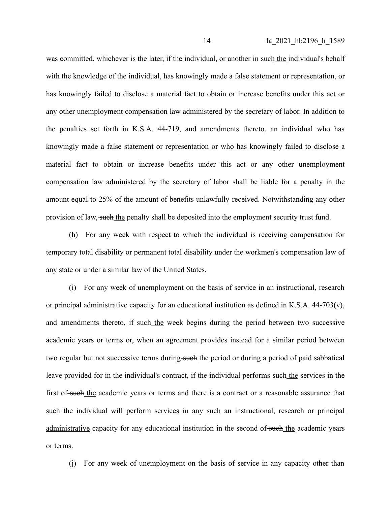was committed, whichever is the later, if the individual, or another in such the individual's behalf with the knowledge of the individual, has knowingly made a false statement or representation, or has knowingly failed to disclose a material fact to obtain or increase benefits under this act or any other unemployment compensation law administered by the secretary of labor. In addition to the penalties set forth in K.S.A. 44-719, and amendments thereto, an individual who has knowingly made a false statement or representation or who has knowingly failed to disclose a material fact to obtain or increase benefits under this act or any other unemployment compensation law administered by the secretary of labor shall be liable for a penalty in the amount equal to 25% of the amount of benefits unlawfully received. Notwithstanding any other provision of law, such the penalty shall be deposited into the employment security trust fund.

(h) For any week with respect to which the individual is receiving compensation for temporary total disability or permanent total disability under the workmen's compensation law of any state or under a similar law of the United States.

(i) For any week of unemployment on the basis of service in an instructional, research or principal administrative capacity for an educational institution as defined in K.S.A. 44-703(v), and amendments thereto, if such the week begins during the period between two successive academic years or terms or, when an agreement provides instead for a similar period between two regular but not successive terms during such the period or during a period of paid sabbatical leave provided for in the individual's contract, if the individual performs-such the services in the first of-such the academic years or terms and there is a contract or a reasonable assurance that such the individual will perform services in any such an instructional, research or principal administrative capacity for any educational institution in the second of such the academic years or terms.

(j) For any week of unemployment on the basis of service in any capacity other than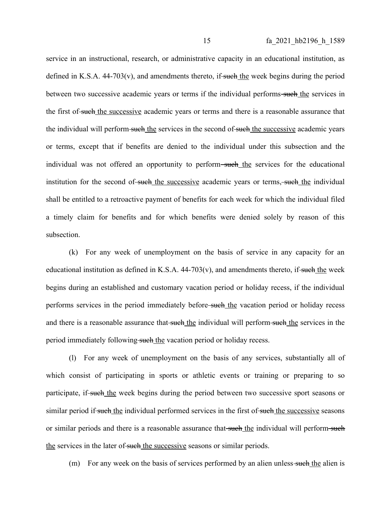service in an instructional, research, or administrative capacity in an educational institution, as defined in K.S.A.  $44-703(v)$ , and amendments thereto, if such the week begins during the period between two successive academic years or terms if the individual performs-such the services in the first of such the successive academic years or terms and there is a reasonable assurance that the individual will perform such the services in the second of such the successive academic years or terms, except that if benefits are denied to the individual under this subsection and the individual was not offered an opportunity to perform—such the services for the educational institution for the second of such the successive academic years or terms, such the individual shall be entitled to a retroactive payment of benefits for each week for which the individual filed a timely claim for benefits and for which benefits were denied solely by reason of this subsection.

(k) For any week of unemployment on the basis of service in any capacity for an educational institution as defined in K.S.A.  $44-703(v)$ , and amendments thereto, if such the week begins during an established and customary vacation period or holiday recess, if the individual performs services in the period immediately before-such the vacation period or holiday recess and there is a reasonable assurance that-such the individual will perform-such the services in the period immediately following-such the vacation period or holiday recess.

(l) For any week of unemployment on the basis of any services, substantially all of which consist of participating in sports or athletic events or training or preparing to so participate, if-such the week begins during the period between two successive sport seasons or similar period if such the individual performed services in the first of such the successive seasons or similar periods and there is a reasonable assurance that such the individual will perform such the services in the later of such the successive seasons or similar periods.

(m) For any week on the basis of services performed by an alien unless-such the alien is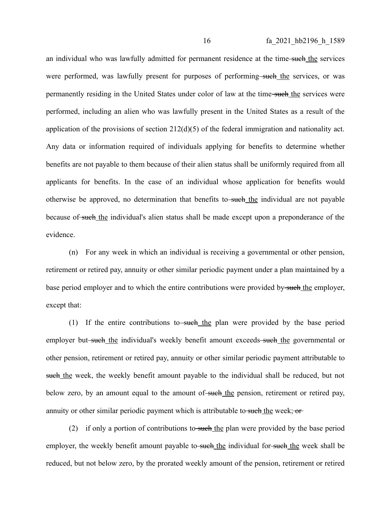an individual who was lawfully admitted for permanent residence at the time-such the services were performed, was lawfully present for purposes of performing such the services, or was permanently residing in the United States under color of law at the time-such the services were performed, including an alien who was lawfully present in the United States as a result of the application of the provisions of section 212(d)(5) of the federal immigration and nationality act. Any data or information required of individuals applying for benefits to determine whether benefits are not payable to them because of their alien status shall be uniformly required from all applicants for benefits. In the case of an individual whose application for benefits would otherwise be approved, no determination that benefits to-such the individual are not payable because of such the individual's alien status shall be made except upon a preponderance of the evidence.

(n) For any week in which an individual is receiving a governmental or other pension, retirement or retired pay, annuity or other similar periodic payment under a plan maintained by a base period employer and to which the entire contributions were provided by such the employer, except that:

(1) If the entire contributions to such the plan were provided by the base period employer but-such the individual's weekly benefit amount exceeds-such the governmental or other pension, retirement or retired pay, annuity or other similar periodic payment attributable to such the week, the weekly benefit amount payable to the individual shall be reduced, but not below zero, by an amount equal to the amount of such the pension, retirement or retired pay, annuity or other similar periodic payment which is attributable to such the week; or

(2) if only a portion of contributions to such the plan were provided by the base period employer, the weekly benefit amount payable to-such the individual for-such the week shall be reduced, but not below zero, by the prorated weekly amount of the pension, retirement or retired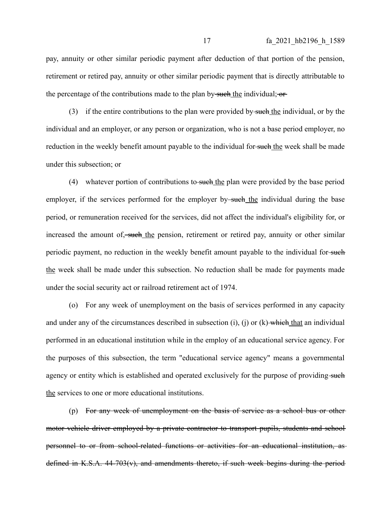pay, annuity or other similar periodic payment after deduction of that portion of the pension, retirement or retired pay, annuity or other similar periodic payment that is directly attributable to the percentage of the contributions made to the plan by such the individual;  $\sigma$ 

(3) if the entire contributions to the plan were provided by such the individual, or by the individual and an employer, or any person or organization, who is not a base period employer, no reduction in the weekly benefit amount payable to the individual for such the week shall be made under this subsection; or

(4) whatever portion of contributions to such the plan were provided by the base period employer, if the services performed for the employer by-such the individual during the base period, or remuneration received for the services, did not affect the individual's eligibility for, or increased the amount of, such the pension, retirement or retired pay, annuity or other similar periodic payment, no reduction in the weekly benefit amount payable to the individual for-such the week shall be made under this subsection. No reduction shall be made for payments made under the social security act or railroad retirement act of 1974.

(o) For any week of unemployment on the basis of services performed in any capacity and under any of the circumstances described in subsection (i), (j) or  $(k)$  which that an individual performed in an educational institution while in the employ of an educational service agency. For the purposes of this subsection, the term "educational service agency" means a governmental agency or entity which is established and operated exclusively for the purpose of providing-such the services to one or more educational institutions.

(p) For any week of unemployment on the basis of service as a school bus or other motor vehicle driver employed by a private contractor to transport pupils, students and school personnel to or from school-related functions or activities for an educational institution, as defined in K.S.A. 44-703(v), and amendments thereto, if such week begins during the period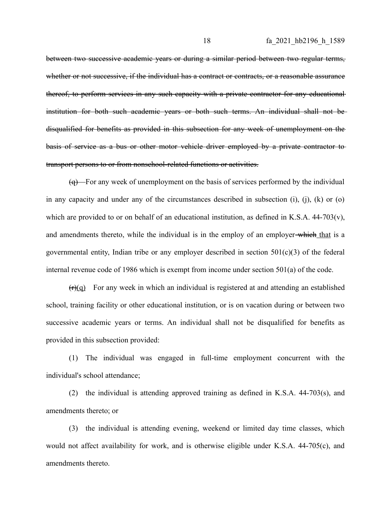between two successive academic years or during a similar period between two regular terms, whether or not successive, if the individual has a contract or contracts, or a reasonable assurance thereof, to perform services in any such capacity with a private contractor for any educational institution for both such academic years or both such terms. An individual shall not be disqualified for benefits as provided in this subsection for any week of unemployment on the basis of service as a bus or other motor vehicle driver employed by a private contractor to transport persons to or from nonschool-related functions or activities.

 $\overline{(q)}$  For any week of unemployment on the basis of services performed by the individual in any capacity and under any of the circumstances described in subsection (i), (j), (k) or (o) which are provided to or on behalf of an educational institution, as defined in K.S.A. 44-703(v), and amendments thereto, while the individual is in the employ of an employer-which that is a governmental entity, Indian tribe or any employer described in section  $501(c)(3)$  of the federal internal revenue code of 1986 which is exempt from income under section 501(a) of the code.

 $(r)(q)$  For any week in which an individual is registered at and attending an established school, training facility or other educational institution, or is on vacation during or between two successive academic years or terms. An individual shall not be disqualified for benefits as provided in this subsection provided:

(1) The individual was engaged in full-time employment concurrent with the individual's school attendance;

(2) the individual is attending approved training as defined in K.S.A. 44-703(s), and amendments thereto; or

(3) the individual is attending evening, weekend or limited day time classes, which would not affect availability for work, and is otherwise eligible under K.S.A. 44-705(c), and amendments thereto.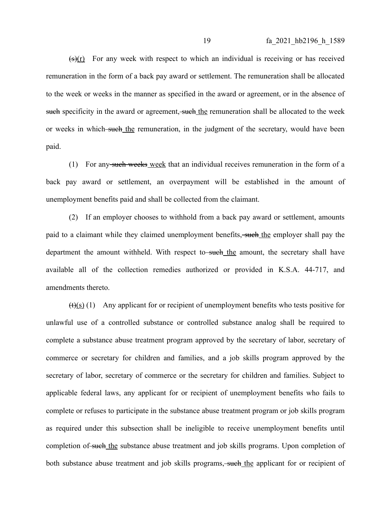$(\frac{1}{3})(r)$  For any week with respect to which an individual is receiving or has received remuneration in the form of a back pay award or settlement. The remuneration shall be allocated to the week or weeks in the manner as specified in the award or agreement, or in the absence of such specificity in the award or agreement, such the remuneration shall be allocated to the week or weeks in which such the remuneration, in the judgment of the secretary, would have been paid.

(1) For any such weeks week that an individual receives remuneration in the form of a back pay award or settlement, an overpayment will be established in the amount of unemployment benefits paid and shall be collected from the claimant.

(2) If an employer chooses to withhold from a back pay award or settlement, amounts paid to a claimant while they claimed unemployment benefits, such the employer shall pay the department the amount withheld. With respect to such the amount, the secretary shall have available all of the collection remedies authorized or provided in K.S.A. 44-717, and amendments thereto.

 $(t)(s)$  (1) Any applicant for or recipient of unemployment benefits who tests positive for unlawful use of a controlled substance or controlled substance analog shall be required to complete a substance abuse treatment program approved by the secretary of labor, secretary of commerce or secretary for children and families, and a job skills program approved by the secretary of labor, secretary of commerce or the secretary for children and families. Subject to applicable federal laws, any applicant for or recipient of unemployment benefits who fails to complete or refuses to participate in the substance abuse treatment program or job skills program as required under this subsection shall be ineligible to receive unemployment benefits until completion of such the substance abuse treatment and job skills programs. Upon completion of both substance abuse treatment and job skills programs, such the applicant for or recipient of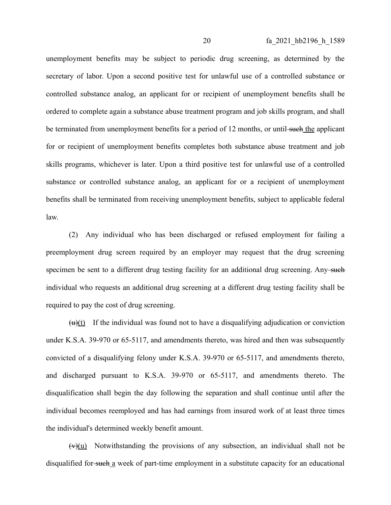unemployment benefits may be subject to periodic drug screening, as determined by the secretary of labor. Upon a second positive test for unlawful use of a controlled substance or controlled substance analog, an applicant for or recipient of unemployment benefits shall be ordered to complete again a substance abuse treatment program and job skills program, and shall be terminated from unemployment benefits for a period of 12 months, or until-such the applicant for or recipient of unemployment benefits completes both substance abuse treatment and job skills programs, whichever is later. Upon a third positive test for unlawful use of a controlled substance or controlled substance analog, an applicant for or a recipient of unemployment benefits shall be terminated from receiving unemployment benefits, subject to applicable federal law.

(2) Any individual who has been discharged or refused employment for failing a preemployment drug screen required by an employer may request that the drug screening specimen be sent to a different drug testing facility for an additional drug screening. Any such individual who requests an additional drug screening at a different drug testing facility shall be required to pay the cost of drug screening.

 $(u)(t)$  If the individual was found not to have a disqualifying adjudication or conviction under K.S.A. 39-970 or 65-5117, and amendments thereto, was hired and then was subsequently convicted of a disqualifying felony under K.S.A. 39-970 or 65-5117, and amendments thereto, and discharged pursuant to K.S.A. 39-970 or 65-5117, and amendments thereto. The disqualification shall begin the day following the separation and shall continue until after the individual becomes reemployed and has had earnings from insured work of at least three times the individual's determined weekly benefit amount.

 $(v)(u)$  Notwithstanding the provisions of any subsection, an individual shall not be disqualified for such a week of part-time employment in a substitute capacity for an educational